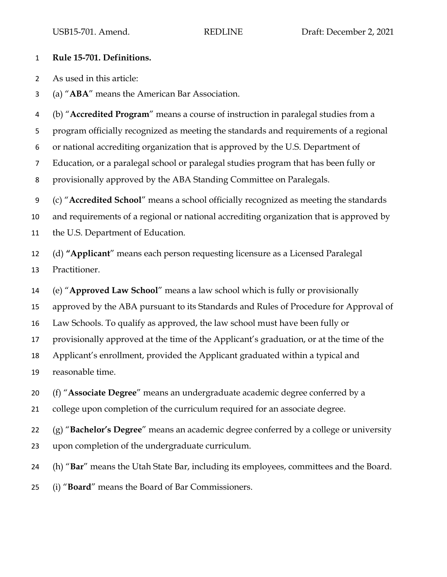## **Rule 15-701. Definitions.**

As used in this article:

(a) "**ABA**" means the American Bar Association.

 (b) "**Accredited Program**" means a course of instruction in paralegal studies from a program officially recognized as meeting the standards and requirements of a regional or national accrediting organization that is approved by the U.S. Department of Education, or a paralegal school or paralegal studies program that has been fully or provisionally approved by the ABA Standing Committee on Paralegals. (c) "**Accredited School**" means a school officially recognized as meeting the standards

 and requirements of a regional or national accrediting organization that is approved by the U.S. Department of Education.

 (d) **"Applicant**" means each person requesting licensure as a Licensed Paralegal Practitioner.

(e) "**Approved Law School**" means a law school which is fully or provisionally

approved by the ABA pursuant to its Standards and Rules of Procedure for Approval of

Law Schools. To qualify as approved, the law school must have been fully or

provisionally approved at the time of the Applicant's graduation, or at the time of the

 Applicant's enrollment, provided the Applicant graduated within a typical and reasonable time.

(f) "**Associate Degree**" means an undergraduate academic degree conferred by a

college upon completion of the curriculum required for an associate degree.

 (g) "**Bachelor's Degree**" means an academic degree conferred by a college or university upon completion of the undergraduate curriculum.

(h) "**Bar**" means the Utah State Bar, including its employees, committees and the Board.

(i) "**Board**" means the Board of Bar Commissioners.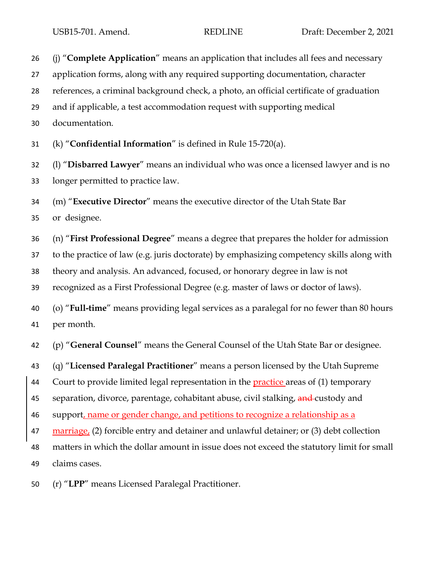(j) "**Complete Application**" means an application that includes all fees and necessary application forms, along with any required supporting documentation, character references, a criminal background check, a photo, an official certificate of graduation and if applicable, a test accommodation request with supporting medical documentation. (k) "**Confidential Information**" is defined in Rule 15-720(a). (l) "**Disbarred Lawyer**" means an individual who was once a licensed lawyer and is no longer permitted to practice law. (m) "**Executive Director**" means the executive director of the Utah State Bar or designee. (n) "**First Professional Degree**" means a degree that prepares the holder for admission to the practice of law (e.g. juris doctorate) by emphasizing competency skills along with theory and analysis. An advanced, focused, or honorary degree in law is not recognized as a First Professional Degree (e.g. master of laws or doctor of laws). (o) "**Full-time**" means providing legal services as a paralegal for no fewer than 80 hours per month. (p) "**General Counsel**" means the General Counsel of the Utah State Bar or designee. (q) "**Licensed Paralegal Practitioner**" means a person licensed by the Utah Supreme 44 Court to provide limited legal representation in the practice areas of (1) temporary 45 separation, divorce, parentage, cohabitant abuse, civil stalking, and custody and support, name or gender change, and petitions to recognize a relationship as a marriage, (2) forcible entry and detainer and unlawful detainer; or (3) debt collection matters in which the dollar amount in issue does not exceed the statutory limit for small claims cases.

(r) "**LPP**" means Licensed Paralegal Practitioner.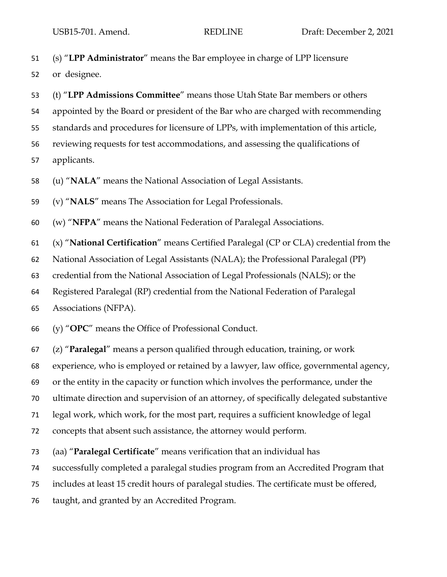(s) "**LPP Administrator**" means the Bar employee in charge of LPP licensure

or designee.

- (t) "**LPP Admissions Committee**" means those Utah State Bar members or others appointed by the Board or president of the Bar who are charged with recommending standards and procedures for licensure of LPPs, with implementation of this article, reviewing requests for test accommodations, and assessing the qualifications of applicants.
- (u) "**NALA**" means the National Association of Legal Assistants.

(v) "**NALS**" means The Association for Legal Professionals.

(w) "**NFPA**" means the National Federation of Paralegal Associations.

(x) "**National Certification**" means Certified Paralegal (CP or CLA) credential from the

National Association of Legal Assistants (NALA); the Professional Paralegal (PP)

credential from the National Association of Legal Professionals (NALS); or the

Registered Paralegal (RP) credential from the National Federation of Paralegal

Associations (NFPA).

(y) "**OPC**" means the Office of Professional Conduct.

(z) "**Paralegal**" means a person qualified through education, training, or work

experience, who is employed or retained by a lawyer, law office, governmental agency,

or the entity in the capacity or function which involves the performance, under the

ultimate direction and supervision of an attorney, of specifically delegated substantive

legal work, which work, for the most part, requires a sufficient knowledge of legal

concepts that absent such assistance, the attorney would perform.

(aa) "**Paralegal Certificate**" means verification that an individual has

successfully completed a paralegal studies program from an Accredited Program that

includes at least 15 credit hours of paralegal studies. The certificate must be offered,

taught, and granted by an Accredited Program.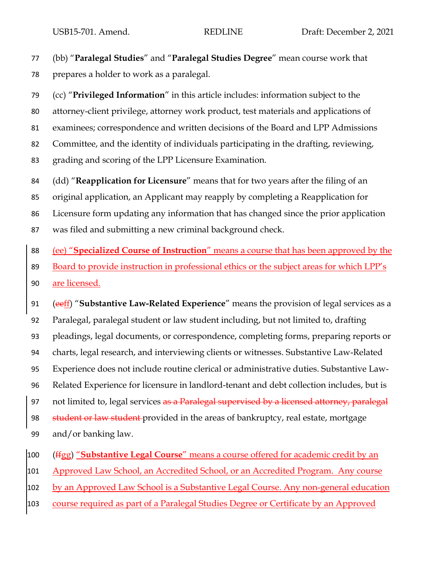(bb) "**Paralegal Studies**" and "**Paralegal Studies Degree**" mean course work that prepares a holder to work as a paralegal.

 (cc) "**Privileged Information**" in this article includes: information subject to the attorney-client privilege, attorney work product, test materials and applications of examinees; correspondence and written decisions of the Board and LPP Admissions Committee, and the identity of individuals participating in the drafting, reviewing, grading and scoring of the LPP Licensure Examination.

 (dd) "**Reapplication for Licensure**" means that for two years after the filing of an original application, an Applicant may reapply by completing a Reapplication for Licensure form updating any information that has changed since the prior application was filed and submitting a new criminal background check.

(ee) "**Specialized Course of Instruction**" means a course that has been approved by the

 Board to provide instruction in professional ethics or the subject areas for which LPP's are licensed.

 (eeff) "**Substantive Law-Related Experience**" means the provision of legal services as a Paralegal, paralegal student or law student including, but not limited to, drafting pleadings, legal documents, or correspondence, completing forms, preparing reports or charts, legal research, and interviewing clients or witnesses. Substantive Law-Related Experience does not include routine clerical or administrative duties. Substantive Law- Related Experience for licensure in landlord-tenant and debt collection includes, but is 97 not limited to, legal services as a Paralegal supervised by a licensed attorney, paralegal 98 student or law student provided in the areas of bankruptcy, real estate, mortgage and/or banking law.

(ffgg) "**Substantive Legal Course**" means a course offered for academic credit by an

Approved Law School, an Accredited School, or an Accredited Program. Any course

102 by an Approved Law School is a Substantive Legal Course. Any non-general education

course required as part of a Paralegal Studies Degree or Certificate by an Approved